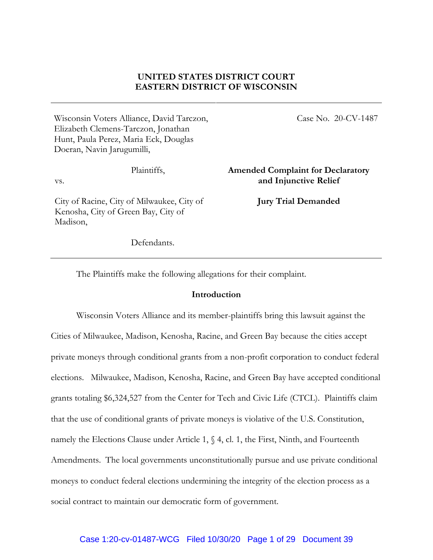## **UNITED STATES DISTRICT COURT EASTERN DISTRICT OF WISCONSIN**

Wisconsin Voters Alliance, David Tarczon, Elizabeth Clemens-Tarczon, Jonathan Hunt, Paula Perez, Maria Eck, Douglas Doeran, Navin Jarugumilli,

Plaintiffs,

vs.

City of Racine, City of Milwaukee, City of Kenosha, City of Green Bay, City of Madison,

Case No. 20-CV-1487

**Amended Complaint for Declaratory and Injunctive Relief**

**Jury Trial Demanded**

Defendants.

The Plaintiffs make the following allegations for their complaint.

### **Introduction**

Wisconsin Voters Alliance and its member-plaintiffs bring this lawsuit against the Cities of Milwaukee, Madison, Kenosha, Racine, and Green Bay because the cities accept private moneys through conditional grants from a non-profit corporation to conduct federal elections. Milwaukee, Madison, Kenosha, Racine, and Green Bay have accepted conditional grants totaling \$6,324,527 from the Center for Tech and Civic Life (CTCL). Plaintiffs claim that the use of conditional grants of private moneys is violative of the U.S. Constitution, namely the Elections Clause under Article 1,  $\%$  4, cl. 1, the First, Ninth, and Fourteenth Amendments. The local governments unconstitutionally pursue and use private conditional moneys to conduct federal elections undermining the integrity of the election process as a social contract to maintain our democratic form of government.

#### Case 1:20-cv-01487-WCG Filed 10/30/20 Page 1 of 29 Document 39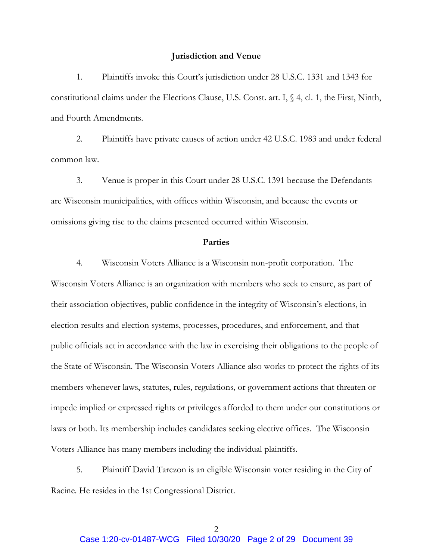### **Jurisdiction and Venue**

1. Plaintiffs invoke this Court's jurisdiction under 28 U.S.C. 1331 and 1343 for constitutional claims under the Elections Clause, U.S. Const. art. I, § 4, cl. 1, the First, Ninth, and Fourth Amendments.

2. Plaintiffs have private causes of action under 42 U.S.C. 1983 and under federal common law.

3. Venue is proper in this Court under 28 U.S.C. 1391 because the Defendants are Wisconsin municipalities, with offices within Wisconsin, and because the events or omissions giving rise to the claims presented occurred within Wisconsin.

### **Parties**

4. Wisconsin Voters Alliance is a Wisconsin non-profit corporation. The Wisconsin Voters Alliance is an organization with members who seek to ensure, as part of their association objectives, public confidence in the integrity of Wisconsin's elections, in election results and election systems, processes, procedures, and enforcement, and that public officials act in accordance with the law in exercising their obligations to the people of the State of Wisconsin. The Wisconsin Voters Alliance also works to protect the rights of its members whenever laws, statutes, rules, regulations, or government actions that threaten or impede implied or expressed rights or privileges afforded to them under our constitutions or laws or both. Its membership includes candidates seeking elective offices. The Wisconsin Voters Alliance has many members including the individual plaintiffs.

5. Plaintiff David Tarczon is an eligible Wisconsin voter residing in the City of Racine. He resides in the 1st Congressional District.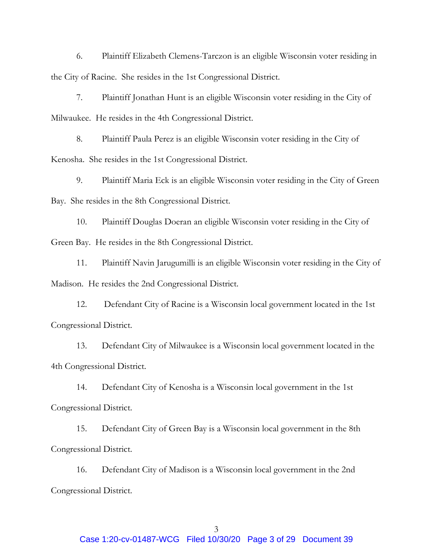6. Plaintiff Elizabeth Clemens-Tarczon is an eligible Wisconsin voter residing in the City of Racine. She resides in the 1st Congressional District.

7. Plaintiff Jonathan Hunt is an eligible Wisconsin voter residing in the City of Milwaukee. He resides in the 4th Congressional District.

8. Plaintiff Paula Perez is an eligible Wisconsin voter residing in the City of Kenosha. She resides in the 1st Congressional District.

9. Plaintiff Maria Eck is an eligible Wisconsin voter residing in the City of Green Bay. She resides in the 8th Congressional District.

10. Plaintiff Douglas Doeran an eligible Wisconsin voter residing in the City of Green Bay. He resides in the 8th Congressional District.

11. Plaintiff Navin Jarugumilli is an eligible Wisconsin voter residing in the City of Madison. He resides the 2nd Congressional District.

12. Defendant City of Racine is a Wisconsin local government located in the 1st Congressional District.

13. Defendant City of Milwaukee is a Wisconsin local government located in the 4th Congressional District.

14. Defendant City of Kenosha is a Wisconsin local government in the 1st Congressional District.

15. Defendant City of Green Bay is a Wisconsin local government in the 8th Congressional District.

16. Defendant City of Madison is a Wisconsin local government in the 2nd Congressional District.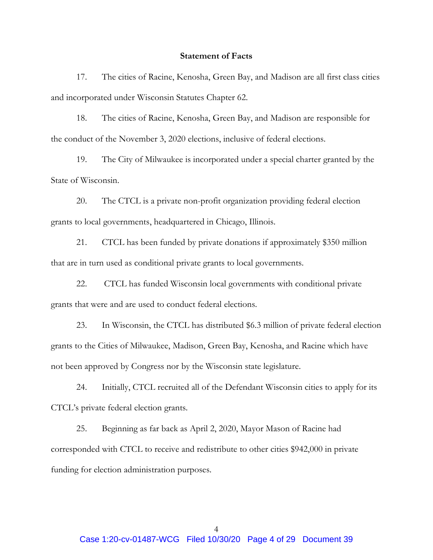### **Statement of Facts**

17. The cities of Racine, Kenosha, Green Bay, and Madison are all first class cities and incorporated under Wisconsin Statutes Chapter 62.

18. The cities of Racine, Kenosha, Green Bay, and Madison are responsible for the conduct of the November 3, 2020 elections, inclusive of federal elections.

19. The City of Milwaukee is incorporated under a special charter granted by the State of Wisconsin.

20. The CTCL is a private non-profit organization providing federal election grants to local governments, headquartered in Chicago, Illinois.

21. CTCL has been funded by private donations if approximately \$350 million that are in turn used as conditional private grants to local governments.

22. CTCL has funded Wisconsin local governments with conditional private grants that were and are used to conduct federal elections.

23. In Wisconsin, the CTCL has distributed \$6.3 million of private federal election grants to the Cities of Milwaukee, Madison, Green Bay, Kenosha, and Racine which have not been approved by Congress nor by the Wisconsin state legislature.

24. Initially, CTCL recruited all of the Defendant Wisconsin cities to apply for its CTCL's private federal election grants.

25. Beginning as far back as April 2, 2020, Mayor Mason of Racine had corresponded with CTCL to receive and redistribute to other cities \$942,000 in private funding for election administration purposes.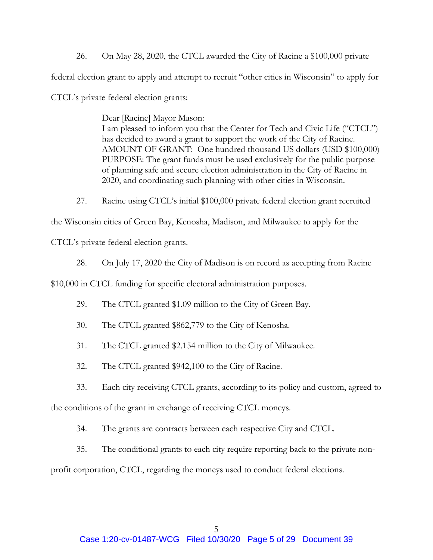26. On May 28, 2020, the CTCL awarded the City of Racine a \$100,000 private federal election grant to apply and attempt to recruit "other cities in Wisconsin" to apply for CTCL's private federal election grants:

> Dear [Racine] Mayor Mason: I am pleased to inform you that the Center for Tech and Civic Life ("CTCL") has decided to award a grant to support the work of the City of Racine. AMOUNT OF GRANT: One hundred thousand US dollars (USD \$100,000) PURPOSE: The grant funds must be used exclusively for the public purpose of planning safe and secure election administration in the City of Racine in 2020, and coordinating such planning with other cities in Wisconsin.

27. Racine using CTCL's initial \$100,000 private federal election grant recruited

the Wisconsin cities of Green Bay, Kenosha, Madison, and Milwaukee to apply for the

CTCL's private federal election grants.

28. On July 17, 2020 the City of Madison is on record as accepting from Racine

\$10,000 in CTCL funding for specific electoral administration purposes.

- 29. The CTCL granted \$1.09 million to the City of Green Bay.
- 30. The CTCL granted \$862,779 to the City of Kenosha.
- 31. The CTCL granted \$2.154 million to the City of Milwaukee.
- 32. The CTCL granted \$942,100 to the City of Racine.
- 33. Each city receiving CTCL grants, according to its policy and custom, agreed to

the conditions of the grant in exchange of receiving CTCL moneys.

- 34. The grants are contracts between each respective City and CTCL.
- 35. The conditional grants to each city require reporting back to the private non-

profit corporation, CTCL, regarding the moneys used to conduct federal elections.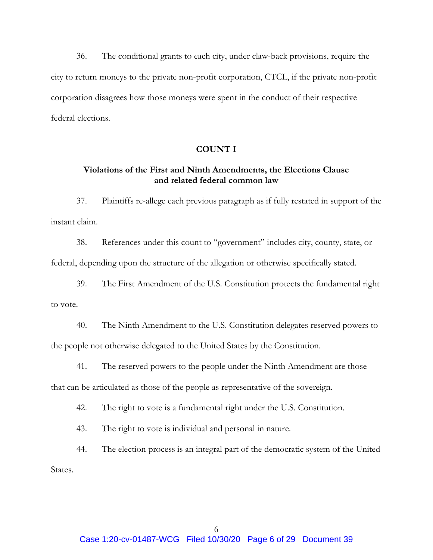36. The conditional grants to each city, under claw-back provisions, require the city to return moneys to the private non-profit corporation, CTCL, if the private non-profit corporation disagrees how those moneys were spent in the conduct of their respective federal elections.

### **COUNT I**

## **Violations of the First and Ninth Amendments, the Elections Clause and related federal common law**

37. Plaintiffs re-allege each previous paragraph as if fully restated in support of the instant claim.

38. References under this count to "government" includes city, county, state, or federal, depending upon the structure of the allegation or otherwise specifically stated.

39. The First Amendment of the U.S. Constitution protects the fundamental right to vote.

40. The Ninth Amendment to the U.S. Constitution delegates reserved powers to the people not otherwise delegated to the United States by the Constitution.

41. The reserved powers to the people under the Ninth Amendment are those

that can be articulated as those of the people as representative of the sovereign.

42. The right to vote is a fundamental right under the U.S. Constitution.

43. The right to vote is individual and personal in nature.

44. The election process is an integral part of the democratic system of the United States.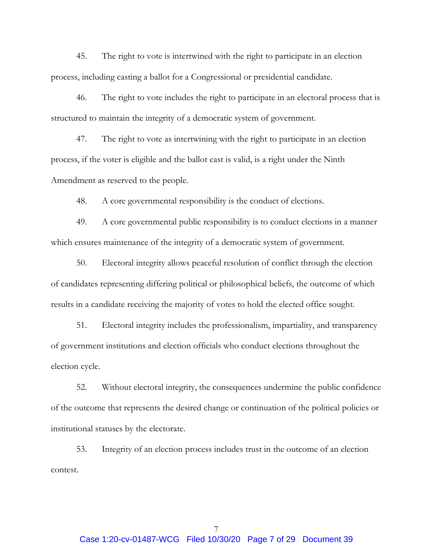45. The right to vote is intertwined with the right to participate in an election process, including casting a ballot for a Congressional or presidential candidate.

46. The right to vote includes the right to participate in an electoral process that is structured to maintain the integrity of a democratic system of government.

47. The right to vote as intertwining with the right to participate in an election process, if the voter is eligible and the ballot cast is valid, is a right under the Ninth Amendment as reserved to the people.

48. A core governmental responsibility is the conduct of elections.

49. A core governmental public responsibility is to conduct elections in a manner which ensures maintenance of the integrity of a democratic system of government.

50. Electoral integrity allows peaceful resolution of conflict through the election of candidates representing differing political or philosophical beliefs, the outcome of which results in a candidate receiving the majority of votes to hold the elected office sought.

51. Electoral integrity includes the professionalism, impartiality, and transparency of government institutions and election officials who conduct elections throughout the election cycle.

52. Without electoral integrity, the consequences undermine the public confidence of the outcome that represents the desired change or continuation of the political policies or institutional statuses by the electorate.

53. Integrity of an election process includes trust in the outcome of an election contest.

7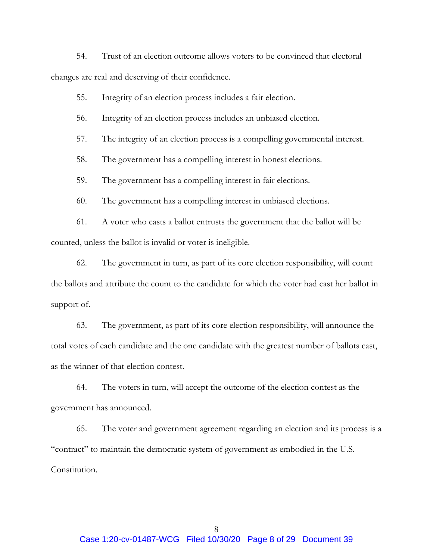54. Trust of an election outcome allows voters to be convinced that electoral changes are real and deserving of their confidence.

55. Integrity of an election process includes a fair election.

56. Integrity of an election process includes an unbiased election.

57. The integrity of an election process is a compelling governmental interest.

58. The government has a compelling interest in honest elections.

59. The government has a compelling interest in fair elections.

60. The government has a compelling interest in unbiased elections.

61. A voter who casts a ballot entrusts the government that the ballot will be counted, unless the ballot is invalid or voter is ineligible.

62. The government in turn, as part of its core election responsibility, will count the ballots and attribute the count to the candidate for which the voter had cast her ballot in support of.

63. The government, as part of its core election responsibility, will announce the total votes of each candidate and the one candidate with the greatest number of ballots cast, as the winner of that election contest.

64. The voters in turn, will accept the outcome of the election contest as the government has announced.

65. The voter and government agreement regarding an election and its process is a "contract" to maintain the democratic system of government as embodied in the U.S. Constitution.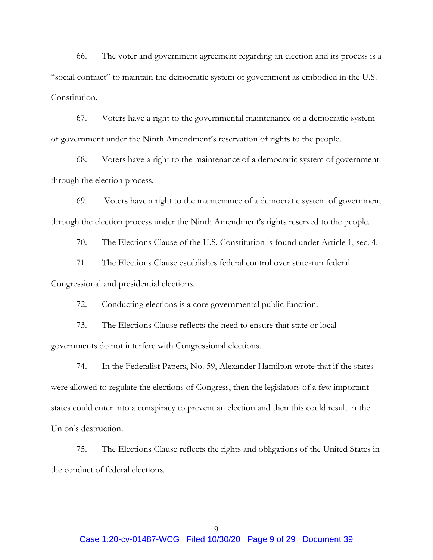66. The voter and government agreement regarding an election and its process is a "social contract" to maintain the democratic system of government as embodied in the U.S. Constitution.

67. Voters have a right to the governmental maintenance of a democratic system of government under the Ninth Amendment's reservation of rights to the people.

68. Voters have a right to the maintenance of a democratic system of government through the election process.

69. Voters have a right to the maintenance of a democratic system of government through the election process under the Ninth Amendment's rights reserved to the people.

70. The Elections Clause of the U.S. Constitution is found under Article 1, sec. 4.

71. The Elections Clause establishes federal control over state-run federal Congressional and presidential elections.

72. Conducting elections is a core governmental public function.

73. The Elections Clause reflects the need to ensure that state or local governments do not interfere with Congressional elections.

74. In the Federalist Papers, No. 59, Alexander Hamilton wrote that if the states were allowed to regulate the elections of Congress, then the legislators of a few important states could enter into a conspiracy to prevent an election and then this could result in the Union's destruction.

75. The Elections Clause reflects the rights and obligations of the United States in the conduct of federal elections.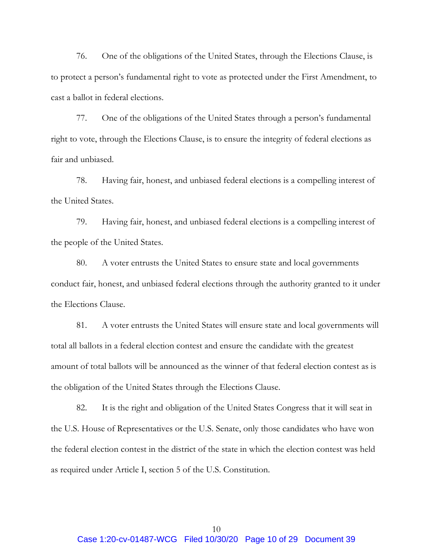76. One of the obligations of the United States, through the Elections Clause, is to protect a person's fundamental right to vote as protected under the First Amendment, to cast a ballot in federal elections.

77. One of the obligations of the United States through a person's fundamental right to vote, through the Elections Clause, is to ensure the integrity of federal elections as fair and unbiased.

78. Having fair, honest, and unbiased federal elections is a compelling interest of the United States.

79. Having fair, honest, and unbiased federal elections is a compelling interest of the people of the United States.

80. A voter entrusts the United States to ensure state and local governments conduct fair, honest, and unbiased federal elections through the authority granted to it under the Elections Clause.

81. A voter entrusts the United States will ensure state and local governments will total all ballots in a federal election contest and ensure the candidate with the greatest amount of total ballots will be announced as the winner of that federal election contest as is the obligation of the United States through the Elections Clause.

82. It is the right and obligation of the United States Congress that it will seat in the U.S. House of Representatives or the U.S. Senate, only those candidates who have won the federal election contest in the district of the state in which the election contest was held as required under Article I, section 5 of the U.S. Constitution.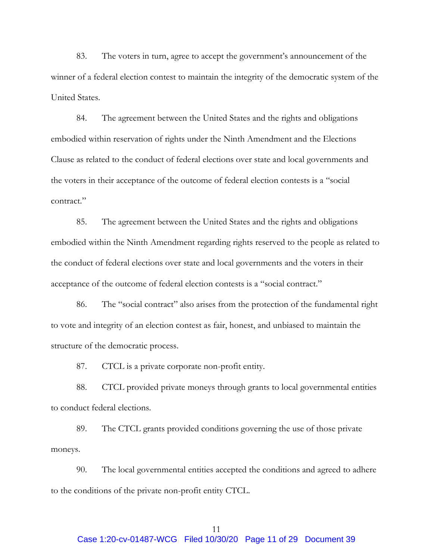83. The voters in turn, agree to accept the government's announcement of the winner of a federal election contest to maintain the integrity of the democratic system of the United States.

84. The agreement between the United States and the rights and obligations embodied within reservation of rights under the Ninth Amendment and the Elections Clause as related to the conduct of federal elections over state and local governments and the voters in their acceptance of the outcome of federal election contests is a "social contract."

85. The agreement between the United States and the rights and obligations embodied within the Ninth Amendment regarding rights reserved to the people as related to the conduct of federal elections over state and local governments and the voters in their acceptance of the outcome of federal election contests is a "social contract."

86. The "social contract" also arises from the protection of the fundamental right to vote and integrity of an election contest as fair, honest, and unbiased to maintain the structure of the democratic process.

87. CTCL is a private corporate non-profit entity.

88. CTCL provided private moneys through grants to local governmental entities to conduct federal elections.

89. The CTCL grants provided conditions governing the use of those private moneys.

90. The local governmental entities accepted the conditions and agreed to adhere to the conditions of the private non-profit entity CTCL.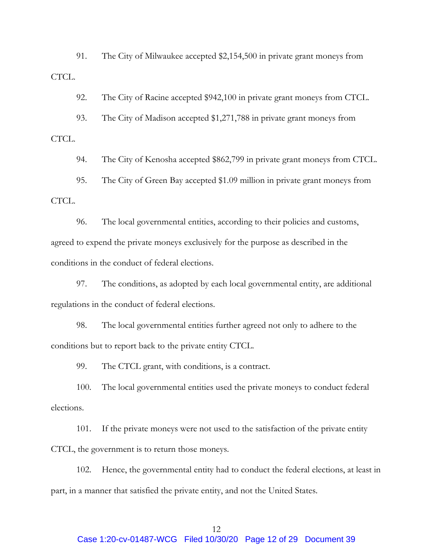91. The City of Milwaukee accepted \$2,154,500 in private grant moneys from CTCL.

92. The City of Racine accepted \$942,100 in private grant moneys from CTCL.

93. The City of Madison accepted \$1,271,788 in private grant moneys from

CTCL.

94. The City of Kenosha accepted \$862,799 in private grant moneys from CTCL.

95. The City of Green Bay accepted \$1.09 million in private grant moneys from CTCL.

96. The local governmental entities, according to their policies and customs, agreed to expend the private moneys exclusively for the purpose as described in the conditions in the conduct of federal elections.

97. The conditions, as adopted by each local governmental entity, are additional regulations in the conduct of federal elections.

98. The local governmental entities further agreed not only to adhere to the conditions but to report back to the private entity CTCL.

99. The CTCL grant, with conditions, is a contract.

100. The local governmental entities used the private moneys to conduct federal elections.

101. If the private moneys were not used to the satisfaction of the private entity CTCL, the government is to return those moneys.

102. Hence, the governmental entity had to conduct the federal elections, at least in part, in a manner that satisfied the private entity, and not the United States.

## 12 Case 1:20-cv-01487-WCG Filed 10/30/20 Page 12 of 29 Document 39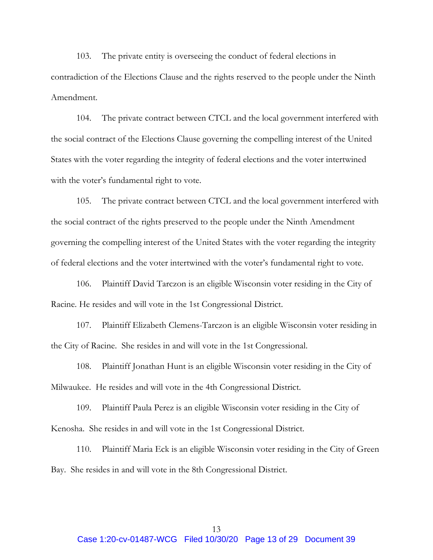103. The private entity is overseeing the conduct of federal elections in contradiction of the Elections Clause and the rights reserved to the people under the Ninth Amendment.

104. The private contract between CTCL and the local government interfered with the social contract of the Elections Clause governing the compelling interest of the United States with the voter regarding the integrity of federal elections and the voter intertwined with the voter's fundamental right to vote.

105. The private contract between CTCL and the local government interfered with the social contract of the rights preserved to the people under the Ninth Amendment governing the compelling interest of the United States with the voter regarding the integrity of federal elections and the voter intertwined with the voter's fundamental right to vote.

106. Plaintiff David Tarczon is an eligible Wisconsin voter residing in the City of Racine. He resides and will vote in the 1st Congressional District.

107. Plaintiff Elizabeth Clemens-Tarczon is an eligible Wisconsin voter residing in the City of Racine. She resides in and will vote in the 1st Congressional.

108. Plaintiff Jonathan Hunt is an eligible Wisconsin voter residing in the City of Milwaukee. He resides and will vote in the 4th Congressional District.

109. Plaintiff Paula Perez is an eligible Wisconsin voter residing in the City of Kenosha. She resides in and will vote in the 1st Congressional District.

110. Plaintiff Maria Eck is an eligible Wisconsin voter residing in the City of Green Bay. She resides in and will vote in the 8th Congressional District.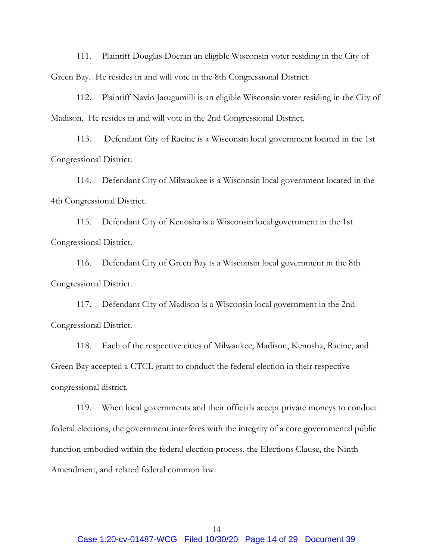111. Plaintiff Douglas Doeran an eligible Wisconsin voter residing in the City of Green Bay. He resides in and will vote in the 8th Congressional District.

112. Plaintiff Navin Jarugumilli is an eligible Wisconsin voter residing in the City of Madison. He resides in and will vote in the 2nd Congressional District.

113. Defendant City of Racine is a Wisconsin local government located in the 1st Congressional District.

114. Defendant City of Milwaukee is a Wisconsin local government located in the 4th Congressional District.

115. Defendant City of Kenosha is a Wisconsin local government in the 1st Congressional District.

116. Defendant City of Green Bay is a Wisconsin local government in the 8th Congressional District.

117. Defendant City of Madison is a Wisconsin local government in the 2nd Congressional District.

118. Each of the respective cities of Milwaukee, Madison, Kenosha, Racine, and Green Bay accepted a CTCL grant to conduct the federal election in their respective congressional district.

119. When local governments and their officials accept private moneys to conduct federal elections, the government interferes with the integrity of a core governmental public function embodied within the federal election process, the Elections Clause, the Ninth Amendment, and related federal common law.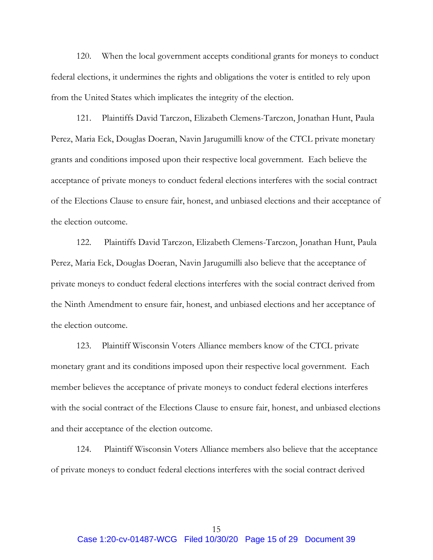120. When the local government accepts conditional grants for moneys to conduct federal elections, it undermines the rights and obligations the voter is entitled to rely upon from the United States which implicates the integrity of the election.

121. Plaintiffs David Tarczon, Elizabeth Clemens-Tarczon, Jonathan Hunt, Paula Perez, Maria Eck, Douglas Doeran, Navin Jarugumilli know of the CTCL private monetary grants and conditions imposed upon their respective local government. Each believe the acceptance of private moneys to conduct federal elections interferes with the social contract of the Elections Clause to ensure fair, honest, and unbiased elections and their acceptance of the election outcome.

122. Plaintiffs David Tarczon, Elizabeth Clemens-Tarczon, Jonathan Hunt, Paula Perez, Maria Eck, Douglas Doeran, Navin Jarugumilli also believe that the acceptance of private moneys to conduct federal elections interferes with the social contract derived from the Ninth Amendment to ensure fair, honest, and unbiased elections and her acceptance of the election outcome.

123. Plaintiff Wisconsin Voters Alliance members know of the CTCL private monetary grant and its conditions imposed upon their respective local government. Each member believes the acceptance of private moneys to conduct federal elections interferes with the social contract of the Elections Clause to ensure fair, honest, and unbiased elections and their acceptance of the election outcome.

124. Plaintiff Wisconsin Voters Alliance members also believe that the acceptance of private moneys to conduct federal elections interferes with the social contract derived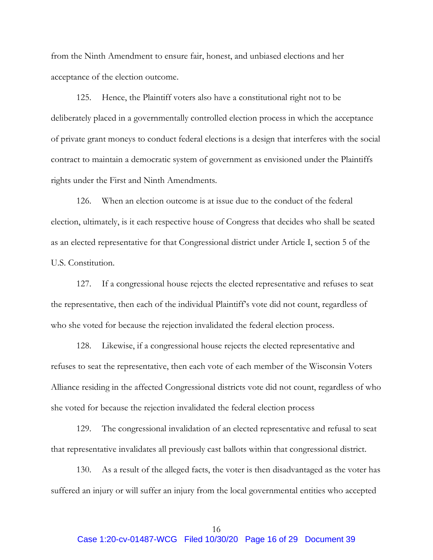from the Ninth Amendment to ensure fair, honest, and unbiased elections and her acceptance of the election outcome.

125. Hence, the Plaintiff voters also have a constitutional right not to be deliberately placed in a governmentally controlled election process in which the acceptance of private grant moneys to conduct federal elections is a design that interferes with the social contract to maintain a democratic system of government as envisioned under the Plaintiffs rights under the First and Ninth Amendments.

126. When an election outcome is at issue due to the conduct of the federal election, ultimately, is it each respective house of Congress that decides who shall be seated as an elected representative for that Congressional district under Article I, section 5 of the U.S. Constitution.

127. If a congressional house rejects the elected representative and refuses to seat the representative, then each of the individual Plaintiff's vote did not count, regardless of who she voted for because the rejection invalidated the federal election process.

128. Likewise, if a congressional house rejects the elected representative and refuses to seat the representative, then each vote of each member of the Wisconsin Voters Alliance residing in the affected Congressional districts vote did not count, regardless of who she voted for because the rejection invalidated the federal election process

129. The congressional invalidation of an elected representative and refusal to seat that representative invalidates all previously cast ballots within that congressional district.

130. As a result of the alleged facts, the voter is then disadvantaged as the voter has suffered an injury or will suffer an injury from the local governmental entities who accepted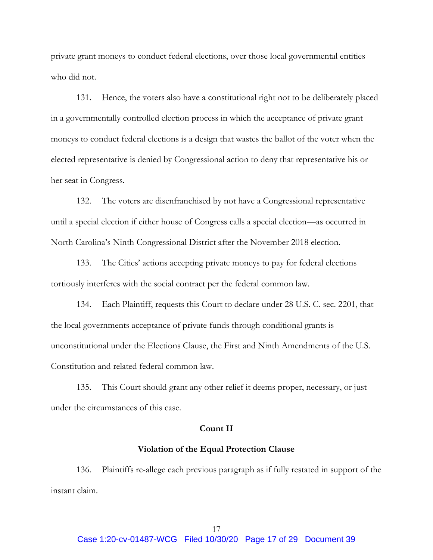private grant moneys to conduct federal elections, over those local governmental entities who did not.

131. Hence, the voters also have a constitutional right not to be deliberately placed in a governmentally controlled election process in which the acceptance of private grant moneys to conduct federal elections is a design that wastes the ballot of the voter when the elected representative is denied by Congressional action to deny that representative his or her seat in Congress.

132. The voters are disenfranchised by not have a Congressional representative until a special election if either house of Congress calls a special election—as occurred in North Carolina's Ninth Congressional District after the November 2018 election.

133. The Cities' actions accepting private moneys to pay for federal elections tortiously interferes with the social contract per the federal common law.

134. Each Plaintiff, requests this Court to declare under 28 U.S. C. sec. 2201, that the local governments acceptance of private funds through conditional grants is unconstitutional under the Elections Clause, the First and Ninth Amendments of the U.S. Constitution and related federal common law.

135. This Court should grant any other relief it deems proper, necessary, or just under the circumstances of this case.

### **Count II**

## **Violation of the Equal Protection Clause**

136. Plaintiffs re-allege each previous paragraph as if fully restated in support of the instant claim.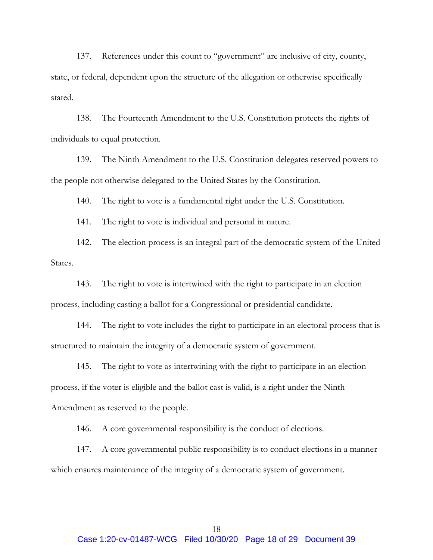137. References under this count to "government" are inclusive of city, county, state, or federal, dependent upon the structure of the allegation or otherwise specifically stated.

138. The Fourteenth Amendment to the U.S. Constitution protects the rights of individuals to equal protection.

139. The Ninth Amendment to the U.S. Constitution delegates reserved powers to the people not otherwise delegated to the United States by the Constitution.

140. The right to vote is a fundamental right under the U.S. Constitution.

141. The right to vote is individual and personal in nature.

142. The election process is an integral part of the democratic system of the United States.

143. The right to vote is intertwined with the right to participate in an election process, including casting a ballot for a Congressional or presidential candidate.

144. The right to vote includes the right to participate in an electoral process that is structured to maintain the integrity of a democratic system of government.

145. The right to vote as intertwining with the right to participate in an election process, if the voter is eligible and the ballot cast is valid, is a right under the Ninth Amendment as reserved to the people.

146. A core governmental responsibility is the conduct of elections.

147. A core governmental public responsibility is to conduct elections in a manner which ensures maintenance of the integrity of a democratic system of government.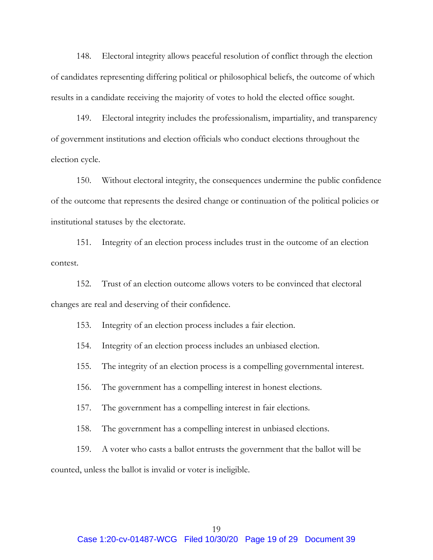148. Electoral integrity allows peaceful resolution of conflict through the election of candidates representing differing political or philosophical beliefs, the outcome of which results in a candidate receiving the majority of votes to hold the elected office sought.

149. Electoral integrity includes the professionalism, impartiality, and transparency of government institutions and election officials who conduct elections throughout the election cycle.

150. Without electoral integrity, the consequences undermine the public confidence of the outcome that represents the desired change or continuation of the political policies or institutional statuses by the electorate.

151. Integrity of an election process includes trust in the outcome of an election contest.

152. Trust of an election outcome allows voters to be convinced that electoral changes are real and deserving of their confidence.

- 153. Integrity of an election process includes a fair election.
- 154. Integrity of an election process includes an unbiased election.
- 155. The integrity of an election process is a compelling governmental interest.
- 156. The government has a compelling interest in honest elections.
- 157. The government has a compelling interest in fair elections.
- 158. The government has a compelling interest in unbiased elections.
- 159. A voter who casts a ballot entrusts the government that the ballot will be

counted, unless the ballot is invalid or voter is ineligible.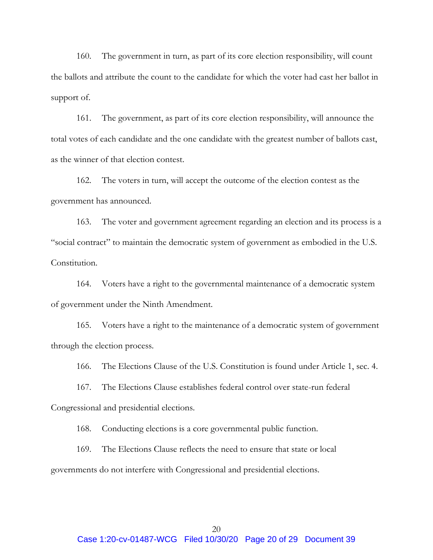160. The government in turn, as part of its core election responsibility, will count the ballots and attribute the count to the candidate for which the voter had cast her ballot in support of.

161. The government, as part of its core election responsibility, will announce the total votes of each candidate and the one candidate with the greatest number of ballots cast, as the winner of that election contest.

162. The voters in turn, will accept the outcome of the election contest as the government has announced.

163. The voter and government agreement regarding an election and its process is a "social contract" to maintain the democratic system of government as embodied in the U.S. Constitution.

164. Voters have a right to the governmental maintenance of a democratic system of government under the Ninth Amendment.

165. Voters have a right to the maintenance of a democratic system of government through the election process.

166. The Elections Clause of the U.S. Constitution is found under Article 1, sec. 4.

167. The Elections Clause establishes federal control over state-run federal Congressional and presidential elections.

168. Conducting elections is a core governmental public function.

169. The Elections Clause reflects the need to ensure that state or local governments do not interfere with Congressional and presidential elections.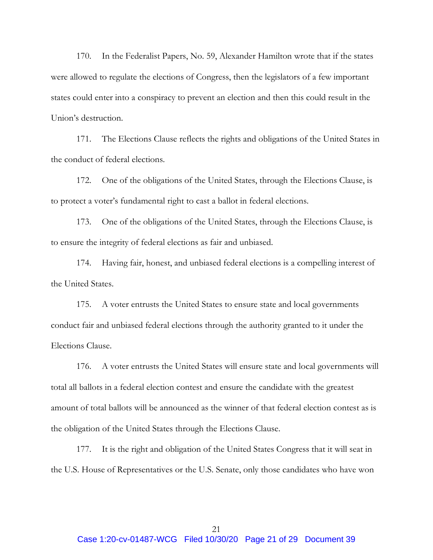170. In the Federalist Papers, No. 59, Alexander Hamilton wrote that if the states were allowed to regulate the elections of Congress, then the legislators of a few important states could enter into a conspiracy to prevent an election and then this could result in the Union's destruction.

171. The Elections Clause reflects the rights and obligations of the United States in the conduct of federal elections.

172. One of the obligations of the United States, through the Elections Clause, is to protect a voter's fundamental right to cast a ballot in federal elections.

173. One of the obligations of the United States, through the Elections Clause, is to ensure the integrity of federal elections as fair and unbiased.

174. Having fair, honest, and unbiased federal elections is a compelling interest of the United States.

175. A voter entrusts the United States to ensure state and local governments conduct fair and unbiased federal elections through the authority granted to it under the Elections Clause.

176. A voter entrusts the United States will ensure state and local governments will total all ballots in a federal election contest and ensure the candidate with the greatest amount of total ballots will be announced as the winner of that federal election contest as is the obligation of the United States through the Elections Clause.

177. It is the right and obligation of the United States Congress that it will seat in the U.S. House of Representatives or the U.S. Senate, only those candidates who have won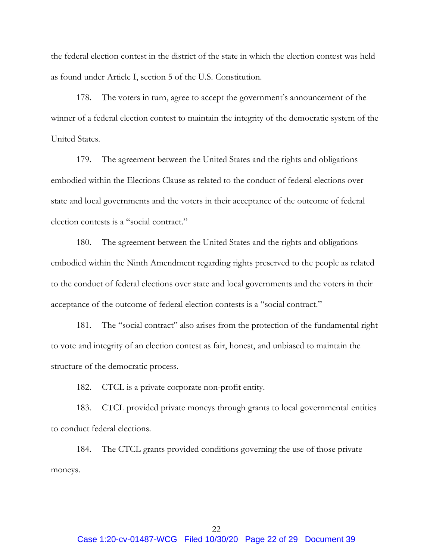the federal election contest in the district of the state in which the election contest was held as found under Article I, section 5 of the U.S. Constitution.

178. The voters in turn, agree to accept the government's announcement of the winner of a federal election contest to maintain the integrity of the democratic system of the United States.

179. The agreement between the United States and the rights and obligations embodied within the Elections Clause as related to the conduct of federal elections over state and local governments and the voters in their acceptance of the outcome of federal election contests is a "social contract."

180. The agreement between the United States and the rights and obligations embodied within the Ninth Amendment regarding rights preserved to the people as related to the conduct of federal elections over state and local governments and the voters in their acceptance of the outcome of federal election contests is a "social contract."

181. The "social contract" also arises from the protection of the fundamental right to vote and integrity of an election contest as fair, honest, and unbiased to maintain the structure of the democratic process.

182. CTCL is a private corporate non-profit entity.

183. CTCL provided private moneys through grants to local governmental entities to conduct federal elections.

184. The CTCL grants provided conditions governing the use of those private moneys.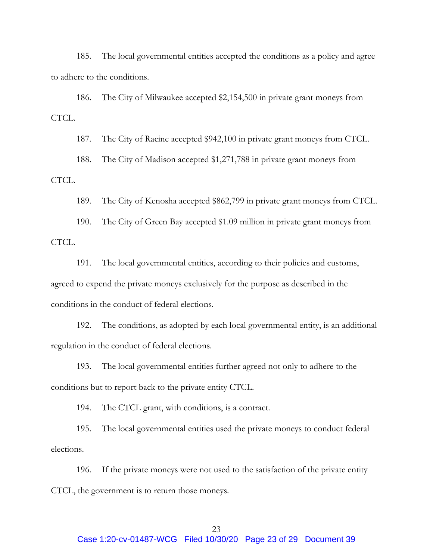185. The local governmental entities accepted the conditions as a policy and agree to adhere to the conditions.

186. The City of Milwaukee accepted \$2,154,500 in private grant moneys from CTCL.

187. The City of Racine accepted \$942,100 in private grant moneys from CTCL.

188. The City of Madison accepted \$1,271,788 in private grant moneys from

CTCL.

189. The City of Kenosha accepted \$862,799 in private grant moneys from CTCL.

190. The City of Green Bay accepted \$1.09 million in private grant moneys from CTCL.

191. The local governmental entities, according to their policies and customs, agreed to expend the private moneys exclusively for the purpose as described in the conditions in the conduct of federal elections.

192. The conditions, as adopted by each local governmental entity, is an additional regulation in the conduct of federal elections.

193. The local governmental entities further agreed not only to adhere to the conditions but to report back to the private entity CTCL.

194. The CTCL grant, with conditions, is a contract.

195. The local governmental entities used the private moneys to conduct federal elections.

196. If the private moneys were not used to the satisfaction of the private entity CTCL, the government is to return those moneys.

# 23

Case 1:20-cv-01487-WCG Filed 10/30/20 Page 23 of 29 Document 39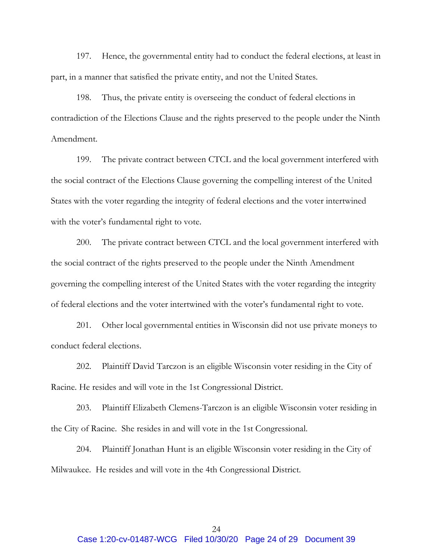197. Hence, the governmental entity had to conduct the federal elections, at least in part, in a manner that satisfied the private entity, and not the United States.

198. Thus, the private entity is overseeing the conduct of federal elections in contradiction of the Elections Clause and the rights preserved to the people under the Ninth Amendment.

199. The private contract between CTCL and the local government interfered with the social contract of the Elections Clause governing the compelling interest of the United States with the voter regarding the integrity of federal elections and the voter intertwined with the voter's fundamental right to vote.

200. The private contract between CTCL and the local government interfered with the social contract of the rights preserved to the people under the Ninth Amendment governing the compelling interest of the United States with the voter regarding the integrity of federal elections and the voter intertwined with the voter's fundamental right to vote.

201. Other local governmental entities in Wisconsin did not use private moneys to conduct federal elections.

202. Plaintiff David Tarczon is an eligible Wisconsin voter residing in the City of Racine. He resides and will vote in the 1st Congressional District.

203. Plaintiff Elizabeth Clemens-Tarczon is an eligible Wisconsin voter residing in the City of Racine. She resides in and will vote in the 1st Congressional.

204. Plaintiff Jonathan Hunt is an eligible Wisconsin voter residing in the City of Milwaukee. He resides and will vote in the 4th Congressional District.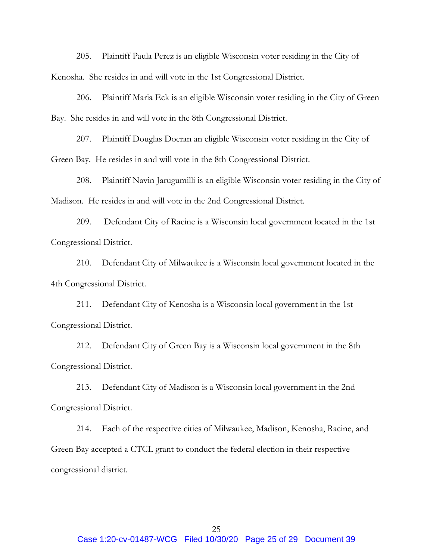205. Plaintiff Paula Perez is an eligible Wisconsin voter residing in the City of Kenosha. She resides in and will vote in the 1st Congressional District.

206. Plaintiff Maria Eck is an eligible Wisconsin voter residing in the City of Green Bay. She resides in and will vote in the 8th Congressional District.

207. Plaintiff Douglas Doeran an eligible Wisconsin voter residing in the City of Green Bay. He resides in and will vote in the 8th Congressional District.

208. Plaintiff Navin Jarugumilli is an eligible Wisconsin voter residing in the City of Madison. He resides in and will vote in the 2nd Congressional District.

209. Defendant City of Racine is a Wisconsin local government located in the 1st Congressional District.

210. Defendant City of Milwaukee is a Wisconsin local government located in the 4th Congressional District.

211. Defendant City of Kenosha is a Wisconsin local government in the 1st Congressional District.

212. Defendant City of Green Bay is a Wisconsin local government in the 8th Congressional District.

213. Defendant City of Madison is a Wisconsin local government in the 2nd Congressional District.

214. Each of the respective cities of Milwaukee, Madison, Kenosha, Racine, and Green Bay accepted a CTCL grant to conduct the federal election in their respective congressional district.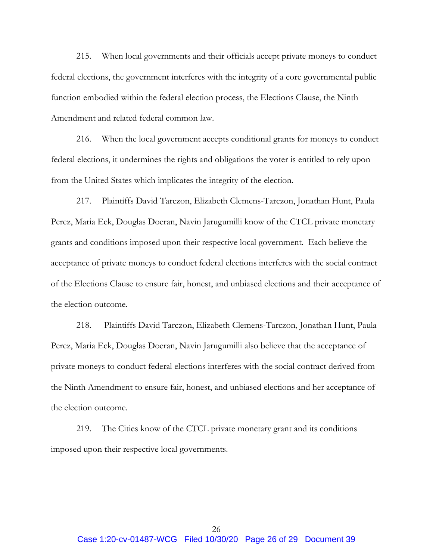215. When local governments and their officials accept private moneys to conduct federal elections, the government interferes with the integrity of a core governmental public function embodied within the federal election process, the Elections Clause, the Ninth Amendment and related federal common law.

216. When the local government accepts conditional grants for moneys to conduct federal elections, it undermines the rights and obligations the voter is entitled to rely upon from the United States which implicates the integrity of the election.

217. Plaintiffs David Tarczon, Elizabeth Clemens-Tarczon, Jonathan Hunt, Paula Perez, Maria Eck, Douglas Doeran, Navin Jarugumilli know of the CTCL private monetary grants and conditions imposed upon their respective local government. Each believe the acceptance of private moneys to conduct federal elections interferes with the social contract of the Elections Clause to ensure fair, honest, and unbiased elections and their acceptance of the election outcome.

218. Plaintiffs David Tarczon, Elizabeth Clemens-Tarczon, Jonathan Hunt, Paula Perez, Maria Eck, Douglas Doeran, Navin Jarugumilli also believe that the acceptance of private moneys to conduct federal elections interferes with the social contract derived from the Ninth Amendment to ensure fair, honest, and unbiased elections and her acceptance of the election outcome.

219. The Cities know of the CTCL private monetary grant and its conditions imposed upon their respective local governments.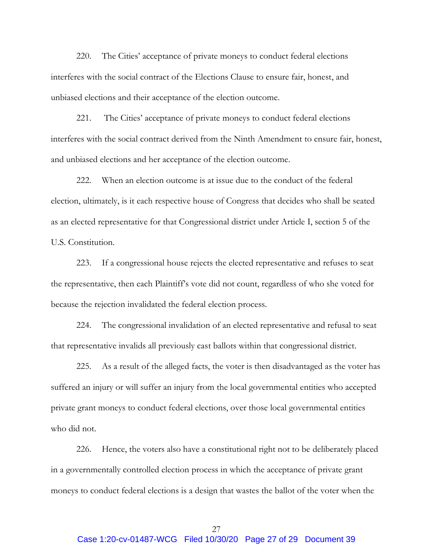220. The Cities' acceptance of private moneys to conduct federal elections interferes with the social contract of the Elections Clause to ensure fair, honest, and unbiased elections and their acceptance of the election outcome.

221. The Cities' acceptance of private moneys to conduct federal elections interferes with the social contract derived from the Ninth Amendment to ensure fair, honest, and unbiased elections and her acceptance of the election outcome.

222. When an election outcome is at issue due to the conduct of the federal election, ultimately, is it each respective house of Congress that decides who shall be seated as an elected representative for that Congressional district under Article I, section 5 of the U.S. Constitution.

223. If a congressional house rejects the elected representative and refuses to seat the representative, then each Plaintiff's vote did not count, regardless of who she voted for because the rejection invalidated the federal election process.

224. The congressional invalidation of an elected representative and refusal to seat that representative invalids all previously cast ballots within that congressional district.

225. As a result of the alleged facts, the voter is then disadvantaged as the voter has suffered an injury or will suffer an injury from the local governmental entities who accepted private grant moneys to conduct federal elections, over those local governmental entities who did not.

226. Hence, the voters also have a constitutional right not to be deliberately placed in a governmentally controlled election process in which the acceptance of private grant moneys to conduct federal elections is a design that wastes the ballot of the voter when the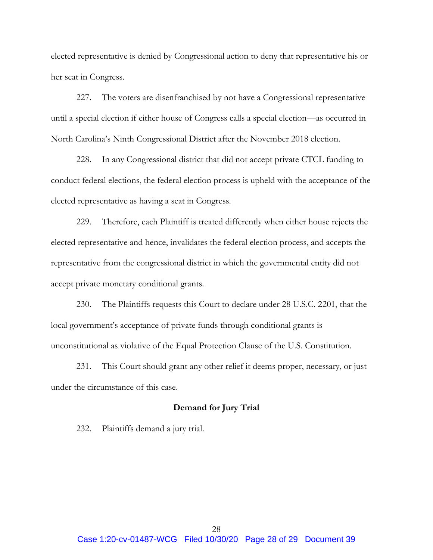elected representative is denied by Congressional action to deny that representative his or her seat in Congress.

227. The voters are disenfranchised by not have a Congressional representative until a special election if either house of Congress calls a special election—as occurred in North Carolina's Ninth Congressional District after the November 2018 election.

228. In any Congressional district that did not accept private CTCL funding to conduct federal elections, the federal election process is upheld with the acceptance of the elected representative as having a seat in Congress.

229. Therefore, each Plaintiff is treated differently when either house rejects the elected representative and hence, invalidates the federal election process, and accepts the representative from the congressional district in which the governmental entity did not accept private monetary conditional grants.

230. The Plaintiffs requests this Court to declare under 28 U.S.C. 2201, that the local government's acceptance of private funds through conditional grants is unconstitutional as violative of the Equal Protection Clause of the U.S. Constitution.

231. This Court should grant any other relief it deems proper, necessary, or just under the circumstance of this case.

## **Demand for Jury Trial**

232. Plaintiffs demand a jury trial.